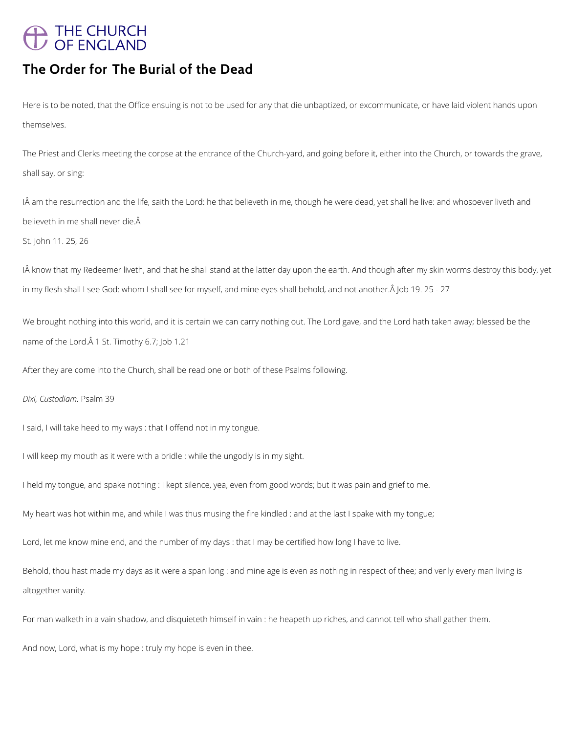# A THE CHURCH<br>/ OF ENGLAND

# **The Order for The Burial of the Dead**

Here is to be noted, that the Office ensuing is not to be used for any that die unbaptized, or excommunicate, or have laid violent hands upon themselves.

IÂ am the resurrection and the life, saith the Lord: he that believeth in me, though he were dead, yet shall he live: and whosoever liveth and believeth in me shall never die.

The Priest and Clerks meeting the corpse at the entrance of the Church-yard, and going before it, either into the Church, or towards the grave, shall say, or sing:

IÂ know that my Redeemer liveth, and that he shall stand at the latter day upon the earth. And though after my skin worms destroy this body, yet in my flesh shall I see God: whom I shall see for myself, and mine eyes shall behold, and not another. A Job 19. 25 - 27

We brought nothing into this world, and it is certain we can carry nothing out. The Lord gave, and the Lord hath taken away; blessed be the name of the Lord. $\hat{A}$  1 St. Timothy 6.7; Job 1.21

St. John 11. 25, 26

After they are come into the Church, shall be read one or both of these Psalms following.

*Dixi, Custodiam.* Psalm 39

I said, I will take heed to my ways : that I offend not in my tongue.

I will keep my mouth as it were with a bridle : while the ungodly is in my sight.

I held my tongue, and spake nothing : I kept silence, yea, even from good words; but it was pain and grief to me.

My heart was hot within me, and while I was thus musing the fire kindled : and at the last I spake with my tongue;

Lord, let me know mine end, and the number of my days : that I may be certified how long I have to live.

Behold, thou hast made my days as it were a span long : and mine age is even as nothing in respect of thee; and verily every man living is

altogether vanity.

For man walketh in a vain shadow, and disquieteth himself in vain : he heapeth up riches, and cannot tell who shall gather them.

And now, Lord, what is my hope : truly my hope is even in thee.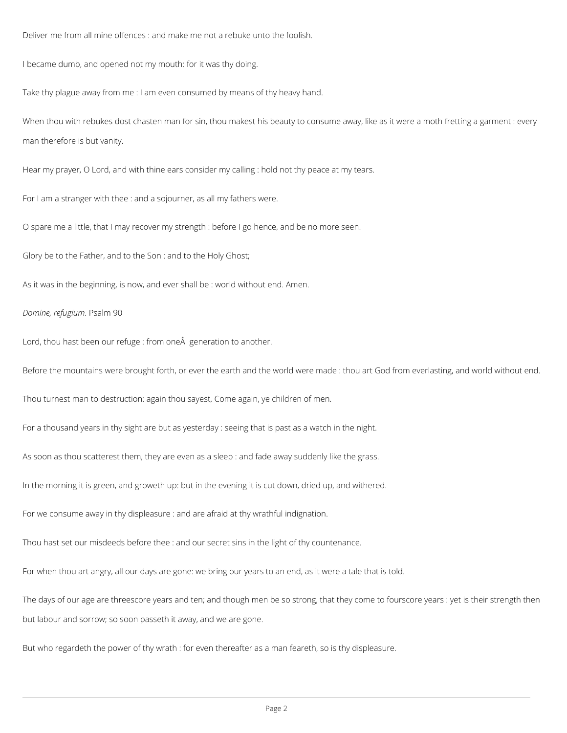Deliver me from all mine offences : and make me not a rebuke unto the foolish.

I became dumb, and opened not my mouth: for it was thy doing.

Take thy plague away from me : I am even consumed by means of thy heavy hand.

When thou with rebukes dost chasten man for sin, thou makest his beauty to consume away, like as it were a moth fretting a garment : every man therefore is but vanity.

Hear my prayer, O Lord, and with thine ears consider my calling : hold not thy peace at my tears.

For I am a stranger with thee : and a sojourner, as all my fathers were.

O spare me a little, that I may recover my strength : before I go hence, and be no more seen.

Glory be to the Father, and to the Son : and to the Holy Ghost;

As it was in the beginning, is now, and ever shall be : world without end. Amen.

### *Domine, refugium.* Psalm 90

Lord, thou hast been our refuge : from one generation to another.

Before the mountains were brought forth, or ever the earth and the world were made : thou art God from everlasting, and world without end.

Thou turnest man to destruction: again thou sayest, Come again, ye children of men.

For a thousand years in thy sight are but as yesterday : seeing that is past as a watch in the night.

As soon as thou scatterest them, they are even as a sleep : and fade away suddenly like the grass.

In the morning it is green, and groweth up: but in the evening it is cut down, dried up, and withered.

For we consume away in thy displeasure : and are afraid at thy wrathful indignation.

Thou hast set our misdeeds before thee : and our secret sins in the light of thy countenance.

For when thou art angry, all our days are gone: we bring our years to an end, as it were a tale that is told.

The days of our age are threescore years and ten; and though men be so strong, that they come to fourscore years : yet is their strength then

but labour and sorrow; so soon passeth it away, and we are gone.

But who regardeth the power of thy wrath : for even thereafter as a man feareth, so is thy displeasure.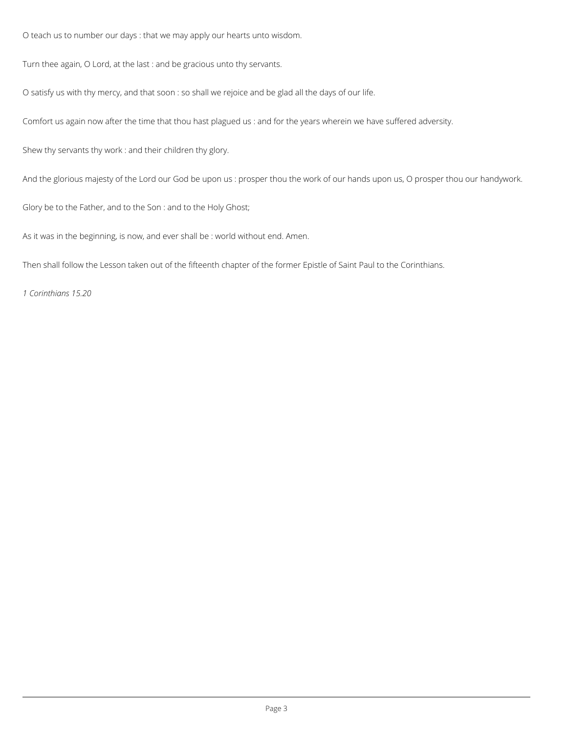O teach us to number our days : that we may apply our hearts unto wisdom.

Turn thee again, O Lord, at the last : and be gracious unto thy servants.

O satisfy us with thy mercy, and that soon : so shall we rejoice and be glad all the days of our life.

Comfort us again now after the time that thou hast plagued us : and for the years wherein we have suffered adversity.

Shew thy servants thy work : and their children thy glory.

And the glorious majesty of the Lord our God be upon us : prosper thou the work of our hands upon us, O prosper thou our handywork.

Glory be to the Father, and to the Son : and to the Holy Ghost;

As it was in the beginning, is now, and ever shall be : world without end. Amen.

Then shall follow the Lesson taken out of the fifteenth chapter of the former Epistle of Saint Paul to the Corinthians.

*1 Corinthians 15.20*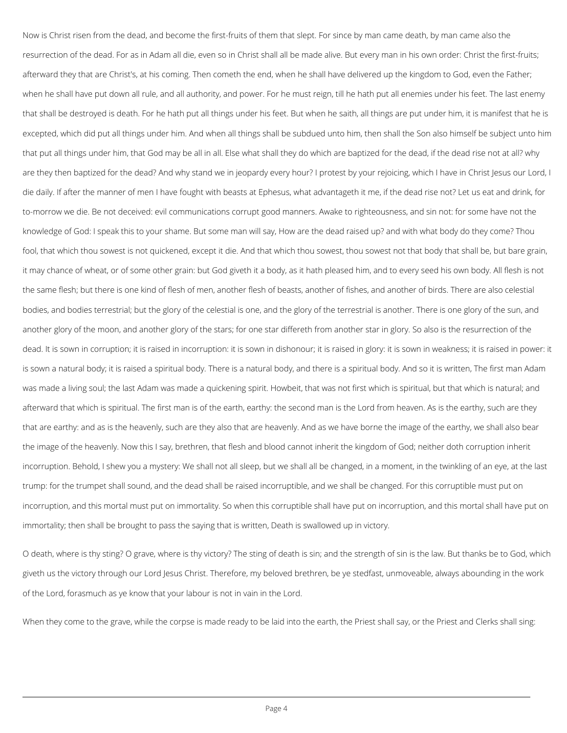Now is Christ risen from the dead, and become the first-fruits of them that slept. For since by man came death, by man came also the resurrection of the dead. For as in Adam all die, even so in Christ shall all be made alive. But every man in his own order: Christ the first-fruits; afterward they that are Christ's, at his coming. Then cometh the end, when he shall have delivered up the kingdom to God, even the Father; when he shall have put down all rule, and all authority, and power. For he must reign, till he hath put all enemies under his feet. The last enemy that shall be destroyed is death. For he hath put all things under his feet. But when he saith, all things are put under him, it is manifest that he is excepted, which did put all things under him. And when all things shall be subdued unto him, then shall the Son also himself be subject unto him that put all things under him, that God may be all in all. Else what shall they do which are baptized for the dead, if the dead rise not at all? why are they then baptized for the dead? And why stand we in jeopardy every hour? I protest by your rejoicing, which I have in Christ Jesus our Lord, I die daily. If after the manner of men I have fought with beasts at Ephesus, what advantageth it me, if the dead rise not? Let us eat and drink, for to-morrow we die. Be not deceived: evil communications corrupt good manners. Awake to righteousness, and sin not: for some have not the knowledge of God: I speak this to your shame. But some man will say, How are the dead raised up? and with what body do they come? Thou fool, that which thou sowest is not quickened, except it die. And that which thou sowest, thou sowest not that body that shall be, but bare grain, it may chance of wheat, or of some other grain: but God giveth it a body, as it hath pleased him, and to every seed his own body. All flesh is not the same flesh; but there is one kind of flesh of men, another flesh of beasts, another of fishes, and another of birds. There are also celestial bodies, and bodies terrestrial; but the glory of the celestial is one, and the glory of the terrestrial is another. There is one glory of the sun, and another glory of the moon, and another glory of the stars; for one star differeth from another star in glory. So also is the resurrection of the dead. It is sown in corruption; it is raised in incorruption: it is sown in dishonour; it is raised in glory: it is sown in weakness; it is raised in power: it is sown a natural body; it is raised a spiritual body. There is a natural body, and there is a spiritual body. And so it is written, The first man Adam was made a living soul; the last Adam was made a quickening spirit. Howbeit, that was not first which is spiritual, but that which is natural; and afterward that which is spiritual. The first man is of the earth, earthy: the second man is the Lord from heaven. As is the earthy, such are they that are earthy: and as is the heavenly, such are they also that are heavenly. And as we have borne the image of the earthy, we shall also bear the image of the heavenly. Now this I say, brethren, that flesh and blood cannot inherit the kingdom of God; neither doth corruption inherit incorruption. Behold, I shew you a mystery: We shall not all sleep, but we shall all be changed, in a moment, in the twinkling of an eye, at the last trump: for the trumpet shall sound, and the dead shall be raised incorruptible, and we shall be changed. For this corruptible must put on incorruption, and this mortal must put on immortality. So when this corruptible shall have put on incorruption, and this mortal shall have put on immortality; then shall be brought to pass the saying that is written, Death is swallowed up in victory.

O death, where is thy sting? O grave, where is thy victory? The sting of death is sin; and the strength of sin is the law. But thanks be to God, which

giveth us the victory through our Lord Jesus Christ. Therefore, my beloved brethren, be ye stedfast, unmoveable, always abounding in the work

of the Lord, forasmuch as ye know that your labour is not in vain in the Lord.

When they come to the grave, while the corpse is made ready to be laid into the earth, the Priest shall say, or the Priest and Clerks shall sing: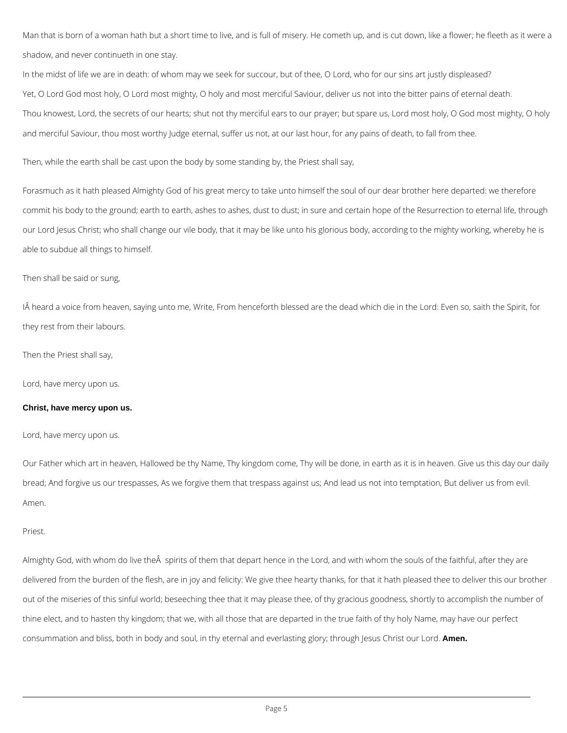Man that is born of a woman hath but a short time to live, and is full of misery. He cometh up, and is cut down, like a flower; he fleeth as it were a shadow, and never continueth in one stay.

In the midst of life we are in death: of whom may we seek for succour, but of thee, O Lord, who for our sins art justly displeased? Yet, O Lord God most holy, O Lord most mighty, O holy and most merciful Saviour, deliver us not into the bitter pains of eternal death. Thou knowest, Lord, the secrets of our hearts; shut not thy merciful ears to our prayer; but spare us, Lord most holy, O God most mighty, O holy and merciful Saviour, thou most worthy Judge eternal, suffer us not, at our last hour, for any pains of death, to fall from thee.

Then, while the earth shall be cast upon the body by some standing by, the Priest shall say,

Forasmuch as it hath pleased Almighty God of his great mercy to take unto himself the soul of our dear brother here departed: we therefore commit his body to the ground; earth to earth, ashes to ashes, dust to dust; in sure and certain hope of the Resurrection to eternal life, through our Lord Jesus Christ; who shall change our vile body, that it may be like unto his glorious body, according to the mighty working, whereby he is able to subdue all things to himself.

Then shall be said or sung,

IÂ heard a voice from heaven, saying unto me, Write, From henceforth blessed are the dead which die in the Lord: Even so, saith the Spirit, for they rest from their labours.

Then the Priest shall say,

Lord, have mercy upon us.

## **Christ, have mercy upon us.**

Lord, have mercy upon us.

Our Father which art in heaven, Hallowed be thy Name, Thy kingdom come, Thy will be done, in earth as it is in heaven. Give us this day our daily bread; And forgive us our trespasses, As we forgive them that trespass against us; And lead us not into temptation, But deliver us from evil. Amen.

Priest.

Almighty God, with whom do live the A spirits of them that depart hence in the Lord, and with whom the souls of the faithful, after they are

delivered from the burden of the flesh, are in joy and felicity: We give thee hearty thanks, for that it hath pleased thee to deliver this our brother

out of the miseries of this sinful world; beseeching thee that it may please thee, of thy gracious goodness, shortly to accomplish the number of

thine elect, and to hasten thy kingdom; that we, with all those that are departed in the true faith of thy holy Name, may have our perfect

consummation and bliss, both in body and soul, in thy eternal and everlasting glory; through Jesus Christ our Lord. **Amen.**